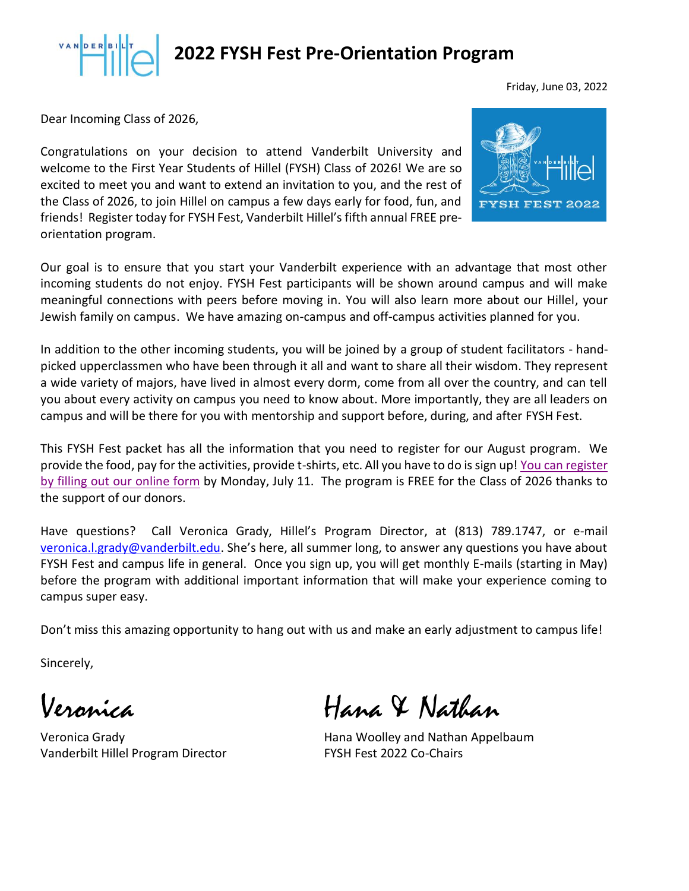

Friday, June 03, 2022

Dear Incoming Class of 2026,

Congratulations on your decision to attend Vanderbilt University and welcome to the First Year Students of Hillel (FYSH) Class of 2026! We are so excited to meet you and want to extend an invitation to you, and the rest of the Class of 2026, to join Hillel on campus a few days early for food, fun, and friends! Register today for FYSH Fest, Vanderbilt Hillel's fifth annual FREE preorientation program.



Our goal is to ensure that you start your Vanderbilt experience with an advantage that most other incoming students do not enjoy. FYSH Fest participants will be shown around campus and will make meaningful connections with peers before moving in. You will also learn more about our Hillel, your Jewish family on campus. We have amazing on-campus and off-campus activities planned for you.

In addition to the other incoming students, you will be joined by a group of student facilitators - handpicked upperclassmen who have been through it all and want to share all their wisdom. They represent a wide variety of majors, have lived in almost every dorm, come from all over the country, and can tell you about every activity on campus you need to know about. More importantly, they are all leaders on campus and will be there for you with mentorship and support before, during, and after FYSH Fest.

This FYSH Fest packet has all the information that you need to register for our August program. We provide the food, pay for the activities, provide t-shirts, etc. All you have to do is sign up[! You can register](https://secure.lglforms.com/form_engine/s/IZNxL14g87E3HqPiAcozug?t=1641936713) [by filling out our online form](https://secure.lglforms.com/form_engine/s/IZNxL14g87E3HqPiAcozug?t=1641936713) by Monday, July 11. The program is FREE for the Class of 2026 thanks to the support of our donors.

Have questions? Call Veronica Grady, Hillel's Program Director, at (813) 789.1747, or e-mail [veronica.l.grady@vanderbilt.edu.](mailto:veronica.l.grady@vanderbilt.edu?subject=Questions%20about%20Fysh%Fest%202020) She's here, all summer long, to answer any questions you have about FYSH Fest and campus life in general. Once you sign up, you will get monthly E-mails (starting in May) before the program with additional important information that will make your experience coming to campus super easy.

Don't miss this amazing opportunity to hang out with us and make an early adjustment to campus life!

Sincerely,

Vanderbilt Hillel Program Director FYSH Fest 2022 Co-Chairs

Hana & Nathan

Veronica Grady **Hana Woolley and Nathan Appelbaum**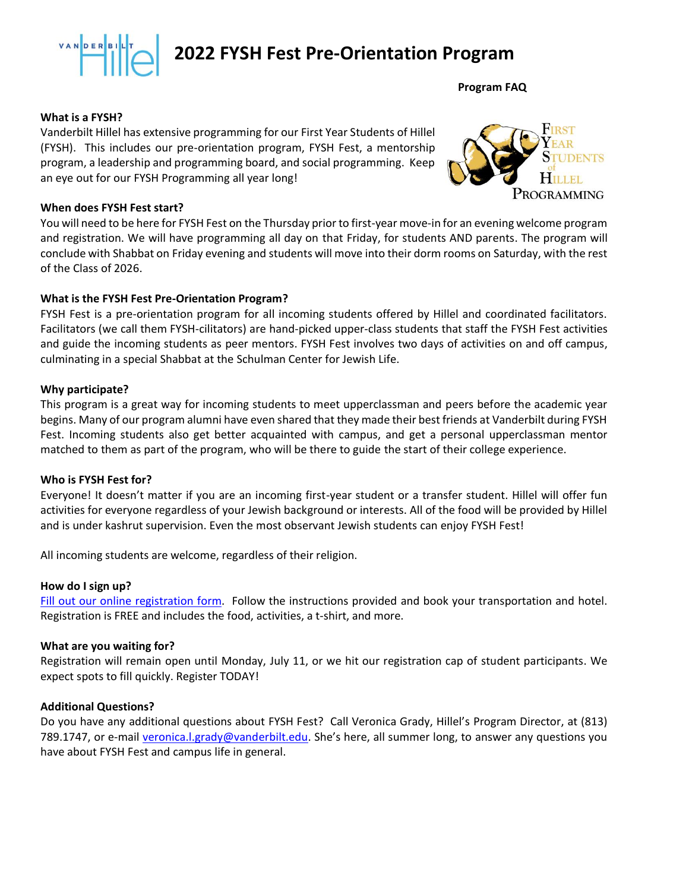

**Program FAQ**

#### **What is a FYSH?**

Vanderbilt Hillel has extensive programming for our First Year Students of Hillel (FYSH). This includes our pre-orientation program, FYSH Fest, a mentorship program, a leadership and programming board, and social programming. Keep an eye out for our FYSH Programming all year long!



#### **When does FYSH Fest start?**

You will need to be here for FYSH Fest on the Thursday prior to first-year move-in for an evening welcome program and registration. We will have programming all day on that Friday, for students AND parents. The program will conclude with Shabbat on Friday evening and students will move into their dorm rooms on Saturday, with the rest of the Class of 2026.

#### **What is the FYSH Fest Pre-Orientation Program?**

FYSH Fest is a pre-orientation program for all incoming students offered by Hillel and coordinated facilitators. Facilitators (we call them FYSH-cilitators) are hand-picked upper-class students that staff the FYSH Fest activities and guide the incoming students as peer mentors. FYSH Fest involves two days of activities on and off campus, culminating in a special Shabbat at the Schulman Center for Jewish Life.

#### **Why participate?**

This program is a great way for incoming students to meet upperclassman and peers before the academic year begins. Many of our program alumni have even shared that they made their best friends at Vanderbilt during FYSH Fest. Incoming students also get better acquainted with campus, and get a personal upperclassman mentor matched to them as part of the program, who will be there to guide the start of their college experience.

#### **Who is FYSH Fest for?**

Everyone! It doesn't matter if you are an incoming first-year student or a transfer student. Hillel will offer fun activities for everyone regardless of your Jewish background or interests. All of the food will be provided by Hillel and is under kashrut supervision. Even the most observant Jewish students can enjoy FYSH Fest!

All incoming students are welcome, regardless of their religion.

#### **How do I sign up?**

[Fill out our online registration form.](https://secure.lglforms.com/form_engine/s/IZNxL14g87E3HqPiAcozug?t=1641936713) Follow the instructions provided and book your transportation and hotel. Registration is FREE and includes the food, activities, a t-shirt, and more.

#### **What are you waiting for?**

Registration will remain open until Monday, July 11, or we hit our registration cap of student participants. We expect spots to fill quickly. Register TODAY!

#### **Additional Questions?**

Do you have any additional questions about FYSH Fest? Call Veronica Grady, Hillel's Program Director, at (813) 789.1747, or e-mail [veronica.l.grady@vanderbilt.edu.](mailto:veronica.l.grady@vanderbilt.edu?subject=Questions%20about%20Fysh%Fest%202020) She's here, all summer long, to answer any questions you have about FYSH Fest and campus life in general.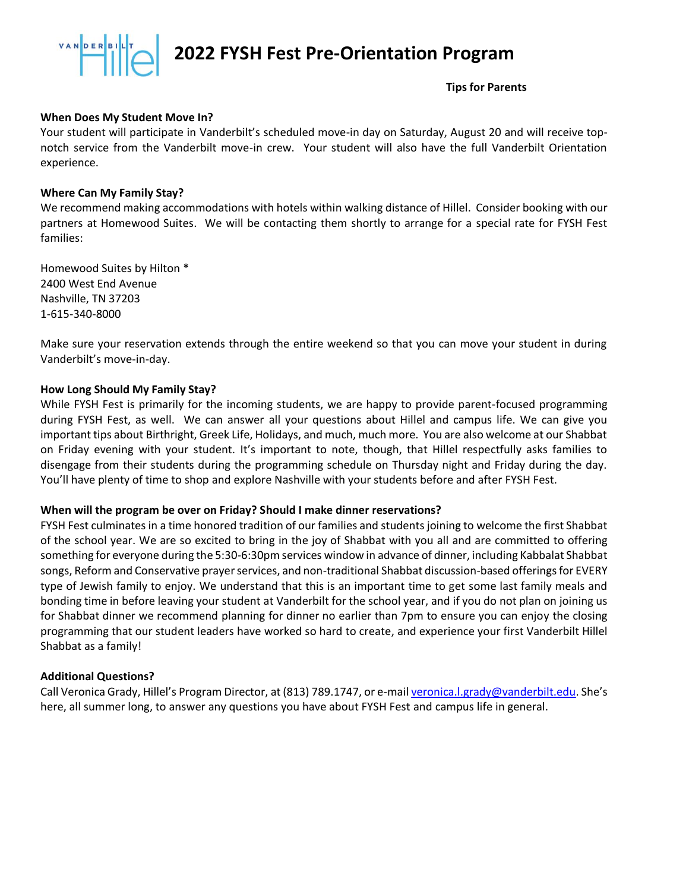**Tips for Parents**

#### **When Does My Student Move In?**

Your student will participate in Vanderbilt's scheduled move-in day on Saturday, August 20 and will receive topnotch service from the Vanderbilt move-in crew. Your student will also have the full Vanderbilt Orientation experience.

#### **Where Can My Family Stay?**

We recommend making accommodations with hotels within walking distance of Hillel. Consider booking with our partners at Homewood Suites. We will be contacting them shortly to arrange for a special rate for FYSH Fest families:

Homewood Suites by Hilton \* 2400 West End Avenue Nashville, TN 37203 1-615-340-8000

Make sure your reservation extends through the entire weekend so that you can move your student in during Vanderbilt's move-in-day.

#### **How Long Should My Family Stay?**

While FYSH Fest is primarily for the incoming students, we are happy to provide parent-focused programming during FYSH Fest, as well. We can answer all your questions about Hillel and campus life. We can give you important tips about Birthright, Greek Life, Holidays, and much, much more. You are also welcome at our Shabbat on Friday evening with your student. It's important to note, though, that Hillel respectfully asks families to disengage from their students during the programming schedule on Thursday night and Friday during the day. You'll have plenty of time to shop and explore Nashville with your students before and after FYSH Fest.

#### **When will the program be over on Friday? Should I make dinner reservations?**

FYSH Fest culminates in a time honored tradition of our families and students joining to welcome the first Shabbat of the school year. We are so excited to bring in the joy of Shabbat with you all and are committed to offering something for everyone during the 5:30-6:30pm services window in advance of dinner, including Kabbalat Shabbat songs, Reform and Conservative prayer services, and non-traditional Shabbat discussion-based offerings for EVERY type of Jewish family to enjoy. We understand that this is an important time to get some last family meals and bonding time in before leaving your student at Vanderbilt for the school year, and if you do not plan on joining us for Shabbat dinner we recommend planning for dinner no earlier than 7pm to ensure you can enjoy the closing programming that our student leaders have worked so hard to create, and experience your first Vanderbilt Hillel Shabbat as a family!

#### **Additional Questions?**

Call Veronica Grady, Hillel's Program Director, at (813) 789.1747, or e-mai[l veronica.l.grady@vanderbilt.edu.](mailto:veronica.l.grady@vanderbilt.edu?subject=Questions%20about%20Fysh%Fest%202020) She's here, all summer long, to answer any questions you have about FYSH Fest and campus life in general.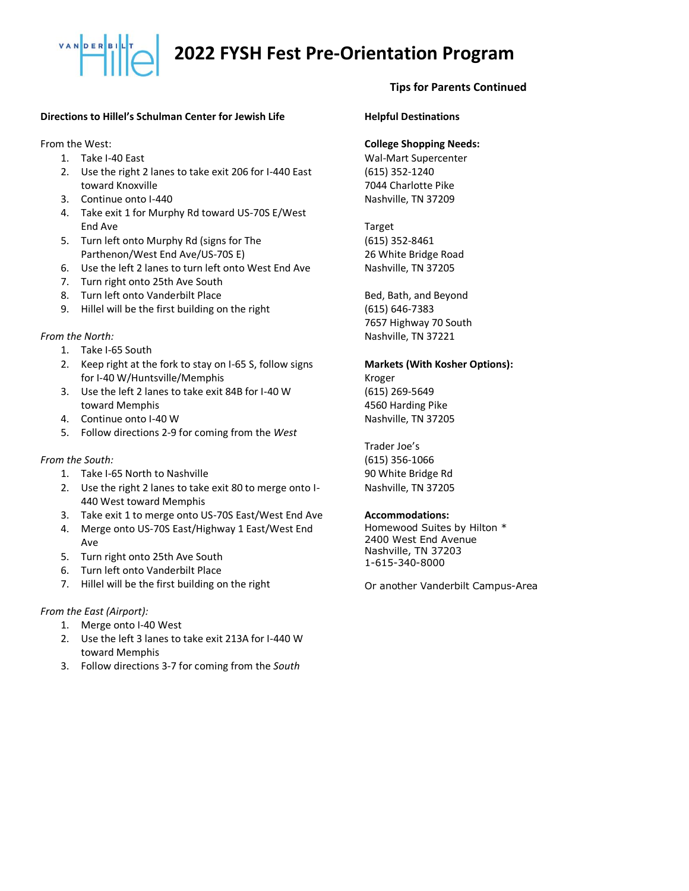#### **Directions to Hillel's Schulman Center for Jewish Life**

From the West:

- 1. Take I-40 East
- 2. Use the right 2 lanes to take exit 206 for I-440 East toward Knoxville
- 3. Continue onto I-440
- 4. Take exit 1 for Murphy Rd toward US-70S E/West End Ave
- 5. Turn left onto Murphy Rd (signs for The Parthenon/West End Ave/US-70S E)
- 6. Use the left 2 lanes to turn left onto West End Ave
- 7. Turn right onto 25th Ave South
- 8. Turn left onto Vanderbilt Place
- 9. Hillel will be the first building on the right

#### *From the North:*

- 1. Take I-65 South
- 2. Keep right at the fork to stay on I-65 S, follow signs for I-40 W/Huntsville/Memphis
- 3. Use the left 2 lanes to take exit 84B for I-40 W toward Memphis
- 4. Continue onto I-40 W
- 5. Follow directions 2-9 for coming from the *West*

#### *From the South:*

- 1. Take I-65 North to Nashville
- 2. Use the right 2 lanes to take exit 80 to merge onto I-440 West toward Memphis
- 3. Take exit 1 to merge onto US-70S East/West End Ave
- 4. Merge onto US-70S East/Highway 1 East/West End Ave
- 5. Turn right onto 25th Ave South
- 6. Turn left onto Vanderbilt Place
- 7. Hillel will be the first building on the right

#### *From the East (Airport):*

- 1. Merge onto I-40 West
- 2. Use the left 3 lanes to take exit 213A for I-440 W toward Memphis
- 3. Follow directions 3-7 for coming from the *South*

#### **Tips for Parents Continued**

#### **Helpful Destinations**

#### **College Shopping Needs:**

Wal-Mart Supercenter (615) 352-1240 7044 Charlotte Pike Nashville, TN 37209

Target (615) 352-8461 26 White Bridge Road Nashville, TN 37205

Bed, Bath, and Beyond (615) 646-7383 7657 Highway 70 South Nashville, TN 37221

#### **Markets (With Kosher Options):**

Kroger (615) 269-5649 4560 Harding Pike Nashville, TN 37205

Trader Joe's (615) 356-1066 90 White Bridge Rd Nashville, TN 37205

#### **Accommodations:**

Homewood Suites by Hilton \* 2400 West End Avenue Nashville, TN 37203 1-615-340-8000

Or another Vanderbilt Campus-Area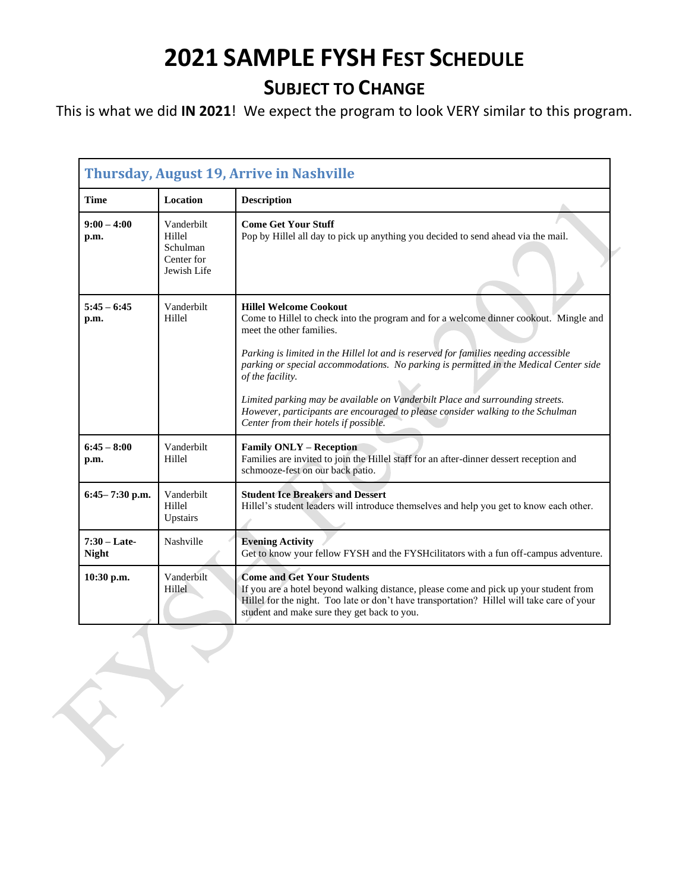## **2021 SAMPLE FYSH FEST SCHEDULE**

### **SUBJECT TO CHANGE**

This is what we did **IN 2021**! We expect the program to look VERY similar to this program.

| <b>Thursday, August 19, Arrive in Nashville</b> |                                                               |                                                                                                                                                                                                                                                                                                                                                                                                                                                                                                                                                                      |  |
|-------------------------------------------------|---------------------------------------------------------------|----------------------------------------------------------------------------------------------------------------------------------------------------------------------------------------------------------------------------------------------------------------------------------------------------------------------------------------------------------------------------------------------------------------------------------------------------------------------------------------------------------------------------------------------------------------------|--|
| <b>Time</b>                                     | <b>Location</b>                                               | <b>Description</b>                                                                                                                                                                                                                                                                                                                                                                                                                                                                                                                                                   |  |
| $9:00 - 4:00$<br>p.m.                           | Vanderbilt<br>Hillel<br>Schulman<br>Center for<br>Jewish Life | <b>Come Get Your Stuff</b><br>Pop by Hillel all day to pick up anything you decided to send ahead via the mail.                                                                                                                                                                                                                                                                                                                                                                                                                                                      |  |
| $5:45 - 6:45$<br>p.m.                           | Vanderbilt<br>Hillel                                          | <b>Hillel Welcome Cookout</b><br>Come to Hillel to check into the program and for a welcome dinner cookout. Mingle and<br>meet the other families.<br>Parking is limited in the Hillel lot and is reserved for families needing accessible<br>parking or special accommodations. No parking is permitted in the Medical Center side<br>of the facility.<br>Limited parking may be available on Vanderbilt Place and surrounding streets.<br>However, participants are encouraged to please consider walking to the Schulman<br>Center from their hotels if possible. |  |
| $6:45 - 8:00$<br>p.m.                           | Vanderbilt<br>Hillel                                          | <b>Family ONLY - Reception</b><br>Families are invited to join the Hillel staff for an after-dinner dessert reception and<br>schmooze-fest on our back patio.                                                                                                                                                                                                                                                                                                                                                                                                        |  |
| $6:45 - 7:30$ p.m.                              | Vanderbilt<br>Hillel<br>Upstairs                              | <b>Student Ice Breakers and Dessert</b><br>Hillel's student leaders will introduce themselves and help you get to know each other.                                                                                                                                                                                                                                                                                                                                                                                                                                   |  |
| $7:30$ – Late-<br><b>Night</b>                  | Nashville                                                     | <b>Evening Activity</b><br>Get to know your fellow FYSH and the FYSH cilitators with a fun off-campus adventure.                                                                                                                                                                                                                                                                                                                                                                                                                                                     |  |
| 10:30 p.m.                                      | Vanderbilt<br>Hillel                                          | <b>Come and Get Your Students</b><br>If you are a hotel beyond walking distance, please come and pick up your student from<br>Hillel for the night. Too late or don't have transportation? Hillel will take care of your<br>student and make sure they get back to you.                                                                                                                                                                                                                                                                                              |  |